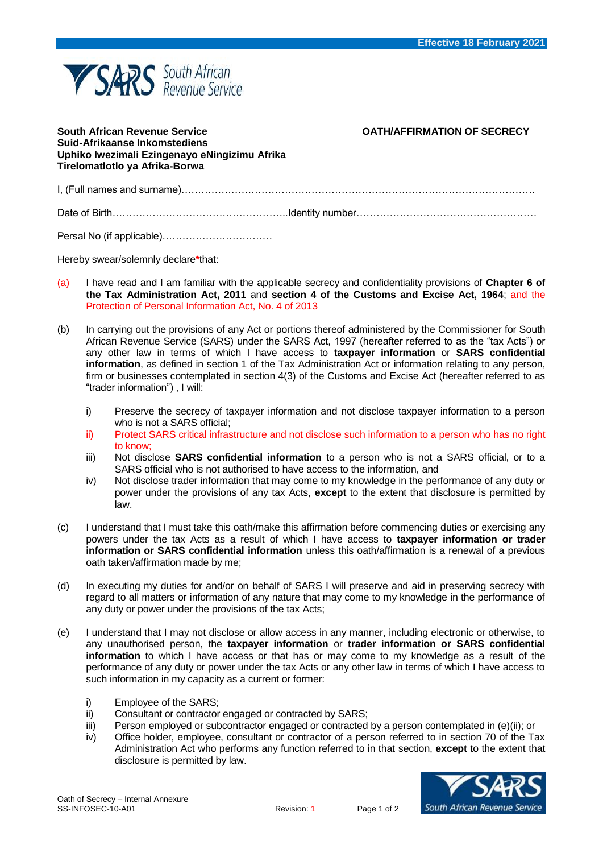

## **South African Revenue Service OATH/AFFIRMATION OF SECRECY Suid-Afrikaanse Inkomstediens Uphiko Iwezimali Ezingenayo eNingizimu Afrika Tirelomatlotlo ya Afrika-Borwa** I, (Full names and surname)……………………………………………………………………………………………. Date of Birth……………………………………………..Identity number……………………………………………… Persal No (if applicable)……………………………

Hereby swear/solemnly declare**\***that:

- (a) I have read and I am familiar with the applicable secrecy and confidentiality provisions of **Chapter 6 of the Tax Administration Act, 2011** and **section 4 of the Customs and Excise Act, 1964**; and the Protection of Personal Information Act, No. 4 of 2013
- (b) In carrying out the provisions of any Act or portions thereof administered by the Commissioner for South African Revenue Service (SARS) under the SARS Act, 1997 (hereafter referred to as the "tax Acts") or any other law in terms of which I have access to **taxpayer information** or **SARS confidential information**, as defined in section 1 of the Tax Administration Act or information relating to any person, firm or businesses contemplated in section 4(3) of the Customs and Excise Act (hereafter referred to as "trader information") , I will:
	- i) Preserve the secrecy of taxpayer information and not disclose taxpayer information to a person who is not a SARS official;
	- ii) Protect SARS critical infrastructure and not disclose such information to a person who has no right to know;
	- iii) Not disclose **SARS confidential information** to a person who is not a SARS official, or to a SARS official who is not authorised to have access to the information, and
	- iv) Not disclose trader information that may come to my knowledge in the performance of any duty or power under the provisions of any tax Acts, **except** to the extent that disclosure is permitted by law.
- (c) I understand that I must take this oath/make this affirmation before commencing duties or exercising any powers under the tax Acts as a result of which I have access to **taxpayer information or trader information or SARS confidential information** unless this oath/affirmation is a renewal of a previous oath taken/affirmation made by me;
- (d) In executing my duties for and/or on behalf of SARS I will preserve and aid in preserving secrecy with regard to all matters or information of any nature that may come to my knowledge in the performance of any duty or power under the provisions of the tax Acts;
- (e) I understand that I may not disclose or allow access in any manner, including electronic or otherwise, to any unauthorised person, the **taxpayer information** or **trader information or SARS confidential information** to which I have access or that has or may come to my knowledge as a result of the performance of any duty or power under the tax Acts or any other law in terms of which I have access to such information in my capacity as a current or former:
	- i) Employee of the SARS;
	- ii) Consultant or contractor engaged or contracted by SARS;
	- iii) Person employed or subcontractor engaged or contracted by a person contemplated in (e)(ii); or
	- iv) Office holder, employee, consultant or contractor of a person referred to in section 70 of the Tax Administration Act who performs any function referred to in that section, **except** to the extent that disclosure is permitted by law.